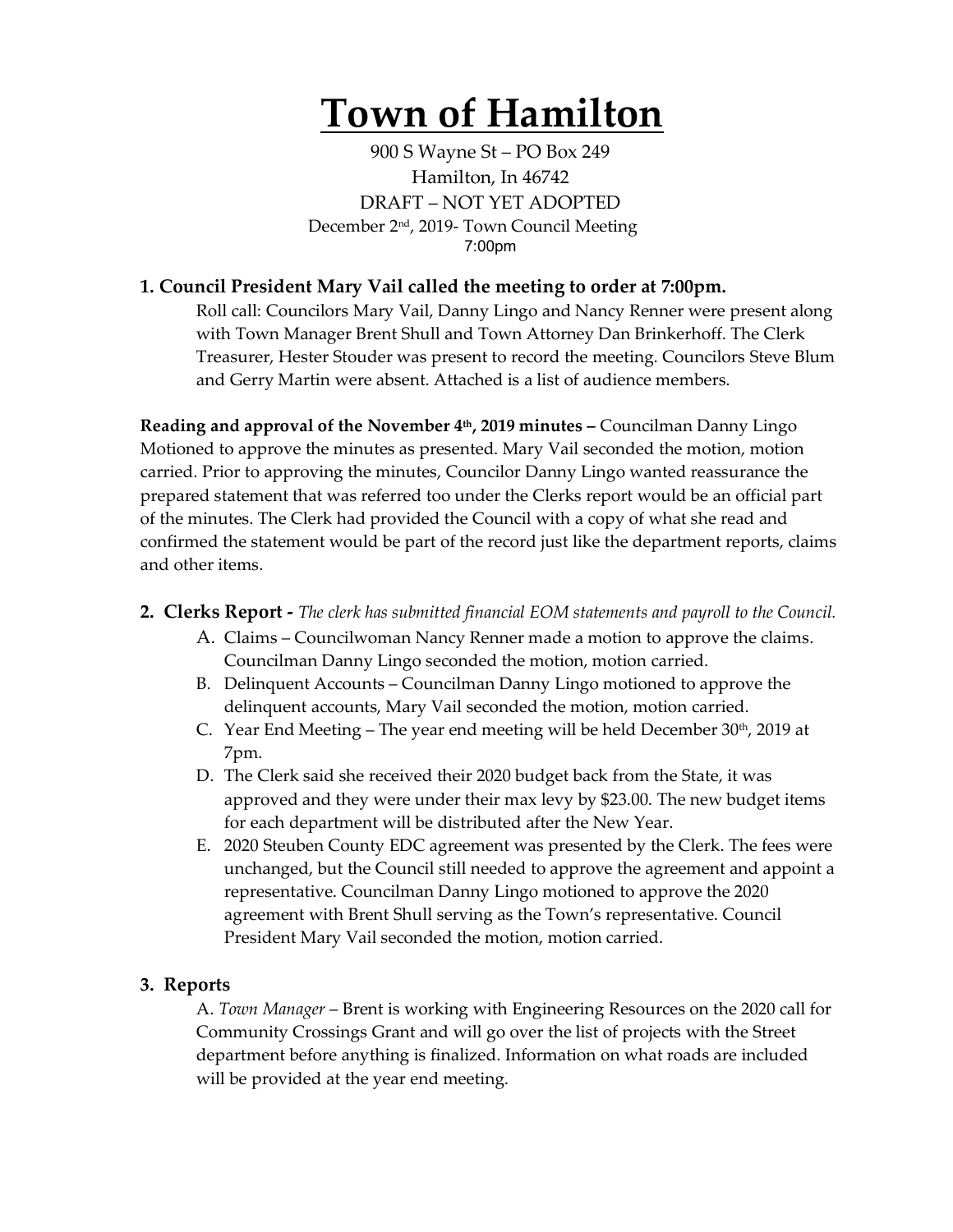# **Town of Hamilton**

900 S Wayne St – PO Box 249 Hamilton, In 46742 DRAFT – NOT YET ADOPTED December 2nd, 2019- Town Council Meeting 7:00pm

## **1. Council President Mary Vail called the meeting to order at 7:00pm.**

Roll call: Councilors Mary Vail, Danny Lingo and Nancy Renner were present along with Town Manager Brent Shull and Town Attorney Dan Brinkerhoff. The Clerk Treasurer, Hester Stouder was present to record the meeting. Councilors Steve Blum and Gerry Martin were absent. Attached is a list of audience members.

**Reading and approval of the November 4th, 2019 minutes –** Councilman Danny Lingo Motioned to approve the minutes as presented. Mary Vail seconded the motion, motion carried. Prior to approving the minutes, Councilor Danny Lingo wanted reassurance the prepared statement that was referred too under the Clerks report would be an official part of the minutes. The Clerk had provided the Council with a copy of what she read and confirmed the statement would be part of the record just like the department reports, claims and other items.

- **2. Clerks Report -** *The clerk has submitted financial EOM statements and payroll to the Council.* 
	- A. Claims Councilwoman Nancy Renner made a motion to approve the claims. Councilman Danny Lingo seconded the motion, motion carried.
	- B. Delinquent Accounts Councilman Danny Lingo motioned to approve the delinquent accounts, Mary Vail seconded the motion, motion carried.
	- C. Year End Meeting The year end meeting will be held December  $30<sup>th</sup>$ ,  $2019$  at 7pm.
	- D. The Clerk said she received their 2020 budget back from the State, it was approved and they were under their max levy by \$23.00. The new budget items for each department will be distributed after the New Year.
	- E. 2020 Steuben County EDC agreement was presented by the Clerk. The fees were unchanged, but the Council still needed to approve the agreement and appoint a representative. Councilman Danny Lingo motioned to approve the 2020 agreement with Brent Shull serving as the Town's representative. Council President Mary Vail seconded the motion, motion carried.

### **3. Reports**

A. *Town Manager* – Brent is working with Engineering Resources on the 2020 call for Community Crossings Grant and will go over the list of projects with the Street department before anything is finalized. Information on what roads are included will be provided at the year end meeting.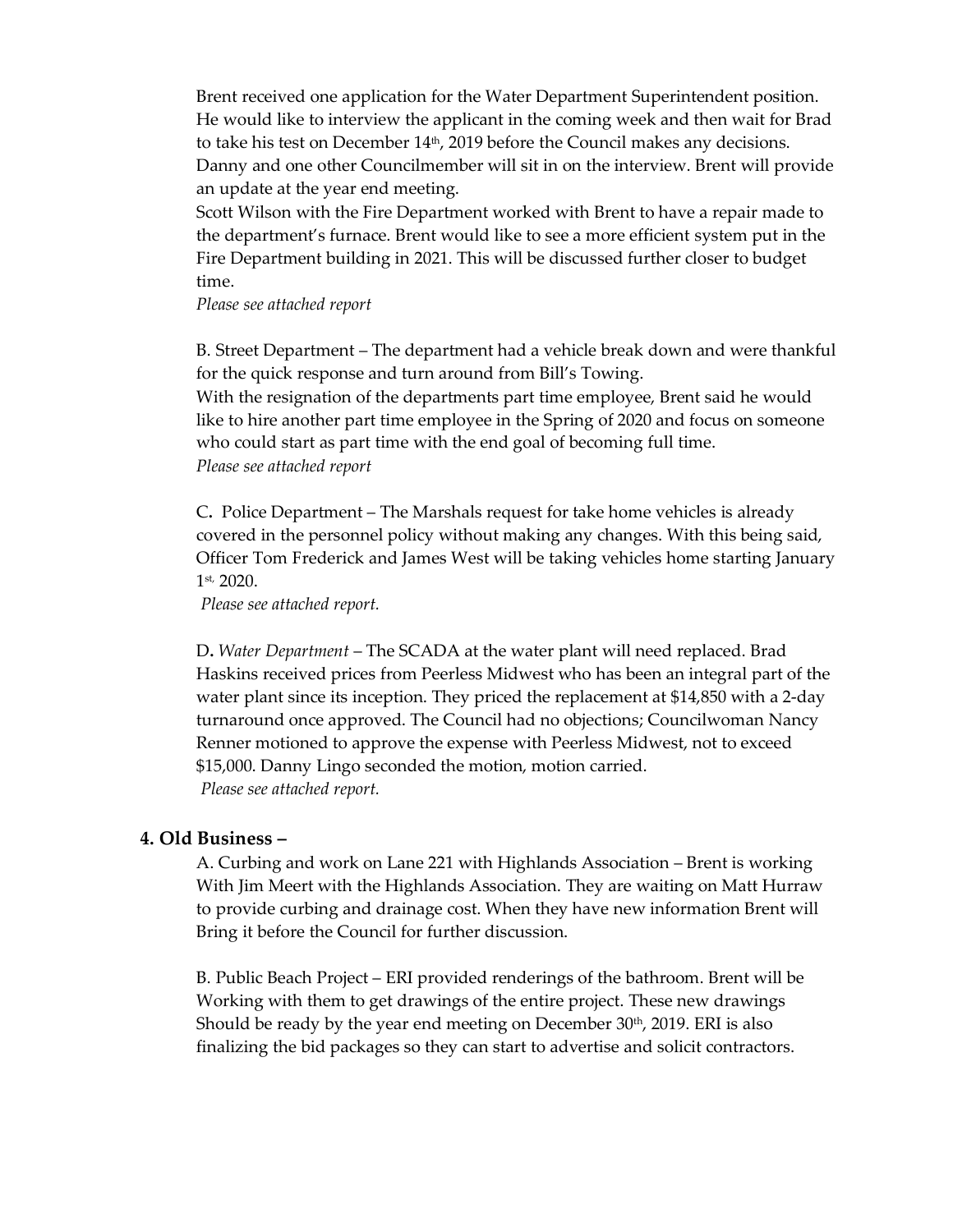Brent received one application for the Water Department Superintendent position. He would like to interview the applicant in the coming week and then wait for Brad to take his test on December  $14<sup>th</sup>$ , 2019 before the Council makes any decisions. Danny and one other Councilmember will sit in on the interview. Brent will provide an update at the year end meeting.

Scott Wilson with the Fire Department worked with Brent to have a repair made to the department's furnace. Brent would like to see a more efficient system put in the Fire Department building in 2021. This will be discussed further closer to budget time.

#### *Please see attached report*

B. Street Department – The department had a vehicle break down and were thankful for the quick response and turn around from Bill's Towing.

With the resignation of the departments part time employee, Brent said he would like to hire another part time employee in the Spring of 2020 and focus on someone who could start as part time with the end goal of becoming full time. *Please see attached report*

C**.** Police Department – The Marshals request for take home vehicles is already covered in the personnel policy without making any changes. With this being said, Officer Tom Frederick and James West will be taking vehicles home starting January 1st, 2020.

*Please see attached report.*

D**.** *Water Department* – The SCADA at the water plant will need replaced. Brad Haskins received prices from Peerless Midwest who has been an integral part of the water plant since its inception. They priced the replacement at \$14,850 with a 2-day turnaround once approved. The Council had no objections; Councilwoman Nancy Renner motioned to approve the expense with Peerless Midwest, not to exceed \$15,000. Danny Lingo seconded the motion, motion carried. *Please see attached report.* 

#### **4. Old Business –**

A. Curbing and work on Lane 221 with Highlands Association – Brent is working With Jim Meert with the Highlands Association. They are waiting on Matt Hurraw to provide curbing and drainage cost. When they have new information Brent will Bring it before the Council for further discussion.

B. Public Beach Project – ERI provided renderings of the bathroom. Brent will be Working with them to get drawings of the entire project. These new drawings Should be ready by the year end meeting on December  $30<sup>th</sup>$ , 2019. ERI is also finalizing the bid packages so they can start to advertise and solicit contractors.